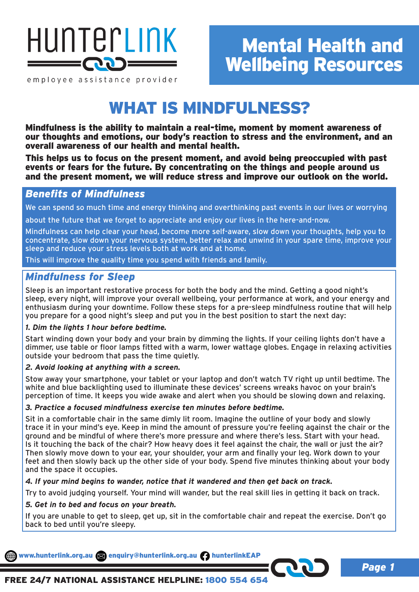

employee assistance provider

# Mental Health and Wellbeing Resources

# WHAT IS MINDFULNESS?

Mindfulness is the ability to maintain a real-time, moment by moment awareness of our thoughts and emotions, our body's reaction to stress and the environment, and an overall awareness of our health and mental health.

This helps us to focus on the present moment, and avoid being preoccupied with past events or fears for the future. By concentrating on the things and people around us and the present moment, we will reduce stress and improve our outlook on the world.

## *Benefits of Mindfulness*

We can spend so much time and energy thinking and overthinking past events in our lives or worrying

about the future that we forget to appreciate and enjoy our lives in the here-and-now.

Mindfulness can help clear your head, become more self-aware, slow down your thoughts, help you to concentrate, slow down your nervous system, better relax and unwind in your spare time, improve your sleep and reduce your stress levels both at work and at home.

This will improve the quality time you spend with friends and family.

## *Mindfulness for Sleep*

Sleep is an important restorative process for both the body and the mind. Getting a good night's sleep, every night, will improve your overall wellbeing, your performance at work, and your energy and enthusiasm during your downtime. Follow these steps for a pre-sleep mindfulness routine that will help you prepare for a good night's sleep and put you in the best position to start the next day:

## *1. Dim the lights 1 hour before bedtime.*

Start winding down your body and your brain by dimming the lights. If your ceiling lights don't have a dimmer, use table or floor lamps fitted with a warm, lower wattage globes. Engage in relaxing activities outside your bedroom that pass the time quietly.

## *2. Avoid looking at anything with a screen.*

Stow away your smartphone, your tablet or your laptop and don't watch TV right up until bedtime. The white and blue backlighting used to illuminate these devices' screens wreaks havoc on your brain's perception of time. It keeps you wide awake and alert when you should be slowing down and relaxing.

## *3. Practice a focused mindfulness exercise ten minutes before bedtime.*

Sit in a comfortable chair in the same dimly lit room. Imagine the outline of your body and slowly trace it in your mind's eye. Keep in mind the amount of pressure you're feeling against the chair or the ground and be mindful of where there's more pressure and where there's less. Start with your head. Is it touching the back of the chair? How heavy does it feel against the chair, the wall or just the air? Then slowly move down to your ear, your shoulder, your arm and finally your leg. Work down to your feet and then slowly back up the other side of your body. Spend five minutes thinking about your body and the space it occupies.

## *4. If your mind begins to wander, notice that it wandered and then get back on track.*

Try to avoid judging yourself. Your mind will wander, but the real skill lies in getting it back on track.

## *5. Get in to bed and focus on your breath.*

If you are unable to get to sleep, get up, sit in the comfortable chair and repeat the exercise. Don't go back to bed until you're sleepy.

www.hunterlink.org.au and enquiry@hunterlink.org.au hunterlinkEAP